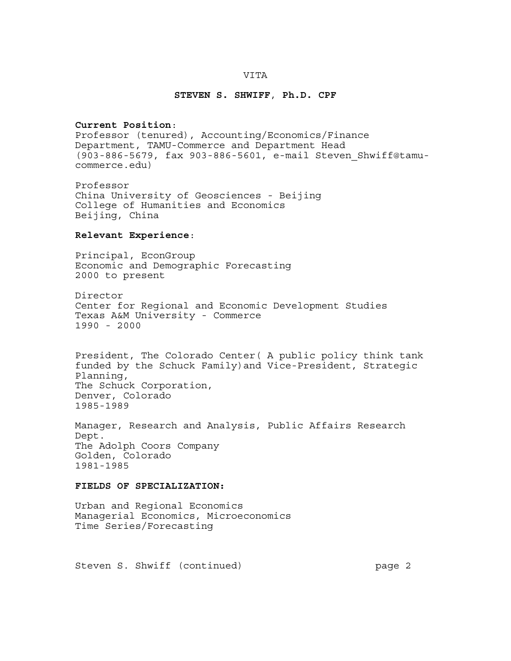#### **VITA**

#### **STEVEN S. SHWIFF**, **Ph.D. CPF**

#### **Current Position**:

Professor (tenured), Accounting/Economics/Finance Department, TAMU-Commerce and Department Head (903-886-5679, fax 903-886-5601, e-mail Steven\_Shwiff@tamucommerce.edu)

Professor China University of Geosciences - Beijing College of Humanities and Economics Beijing, China

### **Relevant Experience**:

Principal, EconGroup Economic and Demographic Forecasting 2000 to present

Director Center for Regional and Economic Development Studies Texas A&M University - Commerce 1990 - 2000

President, The Colorado Center( A public policy think tank funded by the Schuck Family)and Vice-President, Strategic Planning, The Schuck Corporation, Denver, Colorado 1985-1989

Manager, Research and Analysis, Public Affairs Research Dept. The Adolph Coors Company Golden, Colorado 1981-1985

### **FIELDS OF SPECIALIZATION:**

Urban and Regional Economics Managerial Economics, Microeconomics Time Series/Forecasting

Steven S. Shwiff (continued) page 2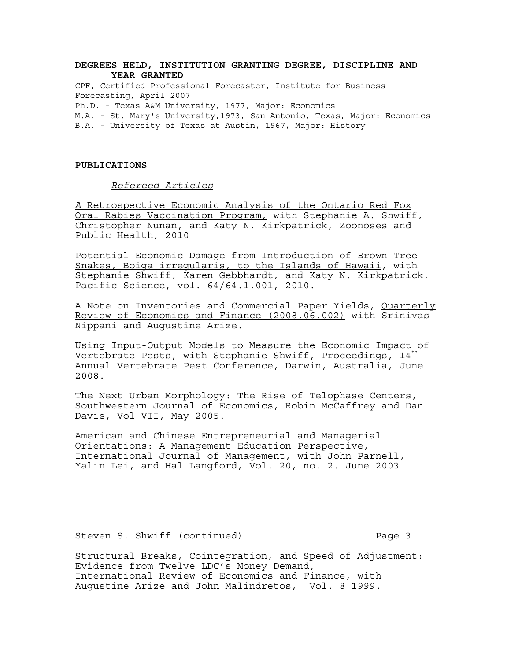### **DEGREES HELD, INSTITUTION GRANTING DEGREE, DISCIPLINE AND YEAR GRANTED**

CPF, Certified Professional Forecaster, Institute for Business Forecasting, April 2007 Ph.D. - Texas A&M University, 1977, Major: Economics M.A. - St. Mary's University,1973, San Antonio, Texas, Major: Economics B.A. - University of Texas at Austin, 1967, Major: History

#### **PUBLICATIONS**

#### *Refereed Articles*

*A* Retrospective Economic Analysis of the Ontario Red Fox Oral Rabies Vaccination Program*,* with Stephanie A. Shwiff, Christopher Nunan, and Katy N. Kirkpatrick, Zoonoses and Public Health, 2010

Potential Economic Damage from Introduction of Brown Tree Snakes, Boiga irregularis, to the Islands of Hawaii*,* with Stephanie Shwiff, Karen Gebbhardt, and Katy N. Kirkpatrick, Pacific Science, vol. 64/64.1.001, 2010.

A Note on Inventories and Commercial Paper Yields, Quarterly Review of Economics and Finance (2008.06.002) with Srinivas Nippani and Augustine Arize.

Using Input-Output Models to Measure the Economic Impact of Vertebrate Pests, with Stephanie Shwiff, Proceedings,  $14<sup>th</sup>$ Annual Vertebrate Pest Conference, Darwin, Australia, June 2008.

The Next Urban Morphology: The Rise of Telophase Centers, Southwestern Journal of Economics, Robin McCaffrey and Dan Davis, Vol VII, May 2005.

American and Chinese Entrepreneurial and Managerial Orientations: A Management Education Perspective, International Journal of Management, with John Parnell, Yalin Lei, and Hal Langford, Vol. 20, no. 2. June 2003

Steven S. Shwiff (continued) The Page 3

Structural Breaks, Cointegration, and Speed of Adjustment: Evidence from Twelve LDC's Money Demand, International Review of Economics and Finance, with Augustine Arize and John Malindretos, Vol. 8 1999.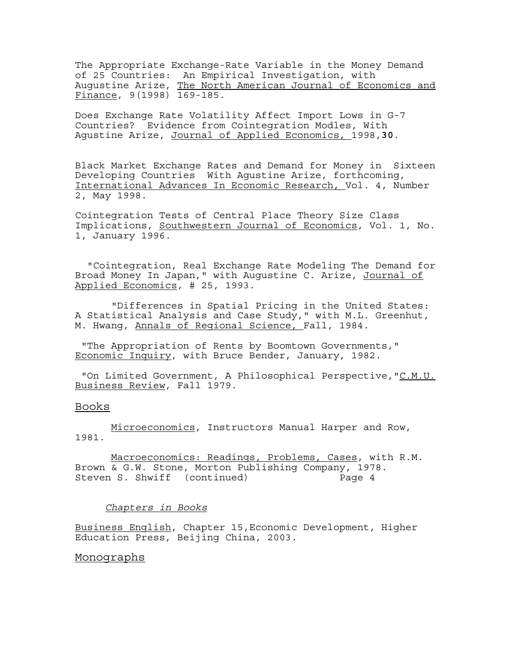The Appropriate Exchange-Rate Variable in the Money Demand of 25 Countries: An Empirical Investigation, with Augustine Arize, The North American Journal of Economics and Finance, 9(1998) 169-185.

Does Exchange Rate Volatility Affect Import Lows in G-7 Countries? Evidence from Cointegration Modles, With Agustine Arize, Journal of Applied Economics, 1998,**30**.

Black Market Exchange Rates and Demand for Money in Sixteen Developing Countries With Agustine Arize, forthcoming, International Advances In Economic Research, Vol. 4, Number 2, May 1998.

Cointegration Tests of Central Place Theory Size Class Implications, Southwestern Journal of Economics, Vol. 1, No. 1, January 1996.

 "Cointegration, Real Exchange Rate Modeling The Demand for Broad Money In Japan," with Augustine C. Arize, Journal of Applied Economics, # 25, 1993.

 "Differences in Spatial Pricing in the United States: A Statistical Analysis and Case Study," with M.L. Greenhut, M. Hwang, Annals of Regional Science, Fall, 1984.

 "The Appropriation of Rents by Boomtown Governments," Economic Inquiry, with Bruce Bender, January, 1982.

"On Limited Government, A Philosophical Perspective, "C.M.U. Business Review, Fall 1979.

#### Books

 Microeconomics, Instructors Manual Harper and Row, 1981.

 Macroeconomics: Readings, Problems, Cases, with R.M. Brown & G.W. Stone, Morton Publishing Company, 1978. Steven S. Shwiff (continued) Page 4

### *Chapters in Books*

Business English, Chapter 15,Economic Development, Higher Education Press, Beijing China, 2003.

#### Monographs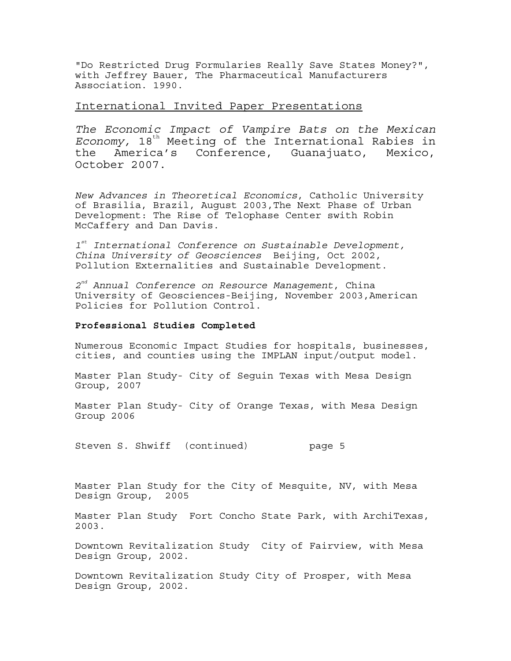"Do Restricted Drug Formularies Really Save States Money?", with Jeffrey Bauer, The Pharmaceutical Manufacturers Association. 1990.

# International Invited Paper Presentations

*The Economic Impact of Vampire Bats on the Mexican Economy*, 18<sup>th</sup> Meeting of the International Rabies in the America's Conference, Guanajuato, Mexico, October 2007.

*New Advances in Theoretical Economics*, Catholic University of Brasilia, Brazil, August 2003,The Next Phase of Urban Development: The Rise of Telophase Center swith Robin McCaffery and Dan Davis.

*1st International Conference on Sustainable Development, China University of Geosciences* Beijing, Oct 2002, Pollution Externalities and Sustainable Development.

*2nd Annual Conference on Resource Management*, China University of Geosciences-Beijing, November 2003,American Policies for Pollution Control.

### **Professional Studies Completed**

Numerous Economic Impact Studies for hospitals, businesses, cities, and counties using the IMPLAN input/output model.

Master Plan Study- City of Seguin Texas with Mesa Design Group, 2007

Master Plan Study- City of Orange Texas, with Mesa Design Group 2006

Steven S. Shwiff (continued) page 5

Master Plan Study for the City of Mesquite, NV, with Mesa Design Group, 2005

Master Plan Study Fort Concho State Park, with ArchiTexas, 2003.

Downtown Revitalization Study City of Fairview, with Mesa Design Group, 2002.

Downtown Revitalization Study City of Prosper, with Mesa Design Group, 2002.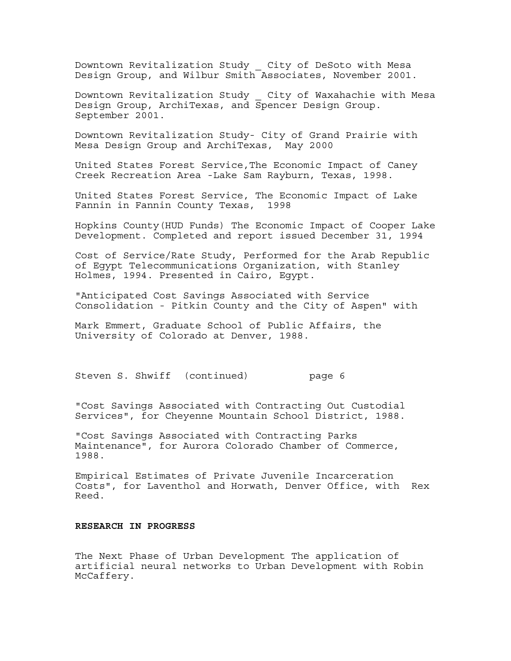Downtown Revitalization Study \_ City of DeSoto with Mesa Design Group, and Wilbur Smith Associates, November 2001.

Downtown Revitalization Study \_ City of Waxahachie with Mesa Design Group, ArchiTexas, and Spencer Design Group. September 2001.

Downtown Revitalization Study- City of Grand Prairie with Mesa Design Group and ArchiTexas, May 2000

United States Forest Service,The Economic Impact of Caney Creek Recreation Area -Lake Sam Rayburn, Texas, 1998.

United States Forest Service, The Economic Impact of Lake Fannin in Fannin County Texas, 1998

Hopkins County(HUD Funds) The Economic Impact of Cooper Lake Development. Completed and report issued December 31, 1994

Cost of Service/Rate Study, Performed for the Arab Republic of Egypt Telecommunications Organization, with Stanley Holmes, 1994. Presented in Cairo, Egypt.

"Anticipated Cost Savings Associated with Service Consolidation - Pitkin County and the City of Aspen" with

Mark Emmert, Graduate School of Public Affairs, the University of Colorado at Denver, 1988.

Steven S. Shwiff (continued) page 6

"Cost Savings Associated with Contracting Out Custodial Services", for Cheyenne Mountain School District, 1988.

"Cost Savings Associated with Contracting Parks Maintenance", for Aurora Colorado Chamber of Commerce, 1988.

Empirical Estimates of Private Juvenile Incarceration Costs", for Laventhol and Horwath, Denver Office, with Rex Reed.

## **RESEARCH IN PROGRESS**

The Next Phase of Urban Development The application of artificial neural networks to Urban Development with Robin McCaffery.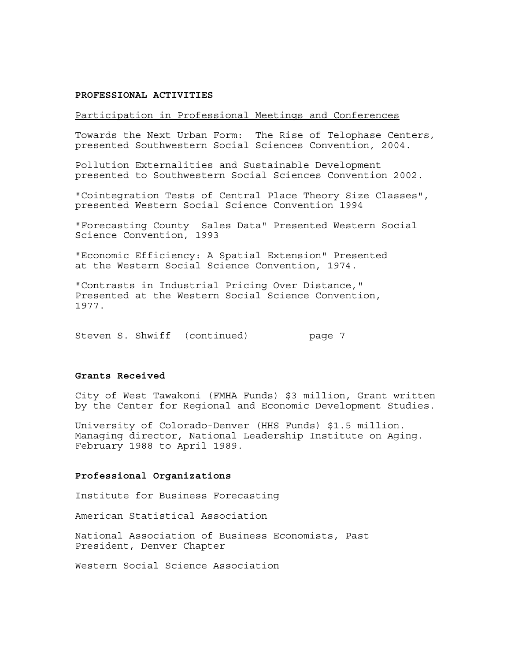#### **PROFESSIONAL ACTIVITIES**

### Participation in Professional Meetings and Conferences

Towards the Next Urban Form: The Rise of Telophase Centers, presented Southwestern Social Sciences Convention, 2004.

Pollution Externalities and Sustainable Development presented to Southwestern Social Sciences Convention 2002.

"Cointegration Tests of Central Place Theory Size Classes", presented Western Social Science Convention 1994

"Forecasting County Sales Data" Presented Western Social Science Convention, 1993

"Economic Efficiency: A Spatial Extension" Presented at the Western Social Science Convention, 1974.

"Contrasts in Industrial Pricing Over Distance," Presented at the Western Social Science Convention, 1977.

Steven S. Shwiff (continued) page 7

#### **Grants Received**

City of West Tawakoni (FMHA Funds) \$3 million, Grant written by the Center for Regional and Economic Development Studies.

University of Colorado-Denver (HHS Funds) \$1.5 million. Managing director, National Leadership Institute on Aging. February 1988 to April 1989.

#### **Professional Organizations**

Institute for Business Forecasting

American Statistical Association

National Association of Business Economists, Past President, Denver Chapter

Western Social Science Association